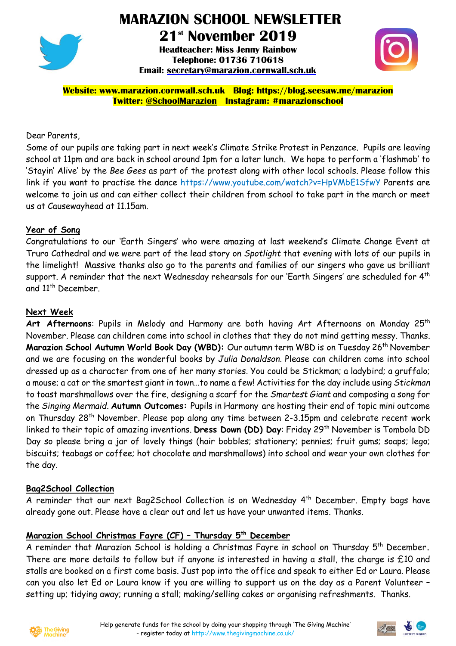

# **MARAZION SCHOOL NEWSLETTER**

**21st November 2019 Headteacher: Miss Jenny Rainbow Telephone: 01736 710618 Email: [secretary@marazion.cornwall.sch.uk](mailto:secretary@marazion.cornwall.sch.uk)**



**Website: [www.marazion.cornwall.sch.uk](http://www.marazion.cornwall.sch.uk/) Blog: <https://blog.seesaw.me/marazion> Twitter: @SchoolMarazion Instagram: #marazionschool**

## Dear Parents,

Some of our pupils are taking part in next week's Climate Strike Protest in Penzance. Pupils are leaving school at 11pm and are back in school around 1pm for a later lunch. We hope to perform a 'flashmob' to 'Stayin' Alive' by the *Bee Gees* as part of the protest along with other local schools. Please follow this link if you want to practise the dance https://www.youtube.com/watch?v=HpVMbE1SfwY Parents are welcome to join us and can either collect their children from school to take part in the march or meet us at Causewayhead at 11.15am.

## **Year of Song**

Congratulations to our 'Earth Singers' who were amazing at last weekend's Climate Change Event at Truro Cathedral and we were part of the lead story on *Spotlight* that evening with lots of our pupils in the limelight! Massive thanks also go to the parents and families of our singers who gave us brilliant support. A reminder that the next Wednesday rehearsals for our 'Earth Singers' are scheduled for  $4^{\text{th}}$ and 11<sup>th</sup> December.

## **Next Week**

Art Afternoons: Pupils in Melody and Harmony are both having Art Afternoons on Monday 25<sup>th</sup> November. Please can children come into school in clothes that they do not mind getting messy. Thanks. **Marazion School Autumn World Book Day (WBD):** Our autumn term WBD is on Tuesday 26th November and we are focusing on the wonderful books by *Julia Donaldson*. Please can children come into school dressed up as a character from one of her many stories. You could be Stickman; a ladybird; a gruffalo; a mouse; a cat or the smartest giant in town…to name a few! Activities for the day include using *Stickman* to toast marshmallows over the fire, designing a scarf for the *Smartest Giant* and composing a song for the *Singing Mermaid*. **Autumn Outcomes:** Pupils in Harmony are hosting their end of topic mini outcome on Thursday 28th November. Please pop along any time between 2-3.15pm and celebrate recent work linked to their topic of amazing inventions. **Dress Down (DD) Day**: Friday 29th November is Tombola DD Day so please bring a jar of lovely things (hair bobbles; stationery; pennies; fruit gums; soaps; lego; biscuits; teabags or coffee; hot chocolate and marshmallows) into school and wear your own clothes for the day.

#### **Bag2School Collection**

A reminder that our next Bag2School Collection is on Wednesday 4<sup>th</sup> December. Empty bags have already gone out. Please have a clear out and let us have your unwanted items. Thanks.

# **Marazion School Christmas Fayre (CF) – Thursday 5 th December**

A reminder that Marazion School is holding a Christmas Fayre in school on Thursday 5 th December**.** There are more details to follow but if anyone is interested in having a stall, the charge is £10 and stalls are booked on a first come basis. Just pop into the office and speak to either Ed or Laura. Please can you also let Ed or Laura know if you are willing to support us on the day as a Parent Volunteer – setting up; tidying away; running a stall; making/selling cakes or organising refreshments. Thanks.



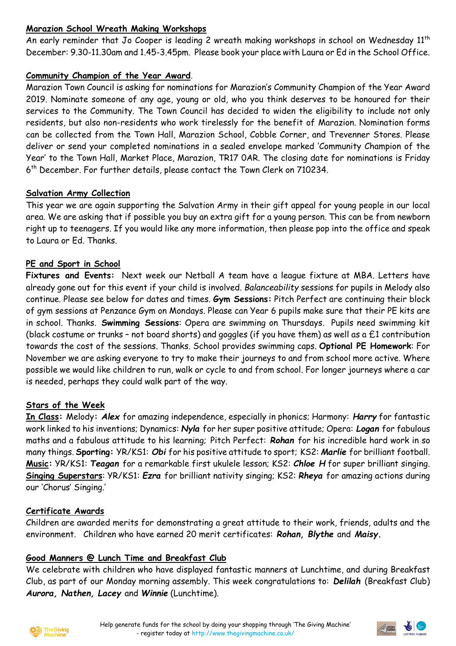# **Marazion School Wreath Making Workshops**

An early reminder that Jo Cooper is leading 2 wreath making workshops in school on Wednesday 11<sup>th</sup> December: 9.30-11.30am and 1.45-3.45pm. Please book your place with Laura or Ed in the School Office.

# **Community Champion of the Year Award**.

Marazion Town Council is asking for nominations for Marazion's Community Champion of the Year Award 2019. Nominate someone of any age, young or old, who you think deserves to be honoured for their services to the Community. The Town Council has decided to widen the eligibility to include not only residents, but also non-residents who work tirelessly for the benefit of Marazion. Nomination forms can be collected from the Town Hall, Marazion School, Cobble Corner, and Trevenner Stores. Please deliver or send your completed nominations in a sealed envelope marked 'Community Champion of the Year' to the Town Hall, Market Place, Marazion, TR17 0AR. The closing date for nominations is Friday 6 th December. For further details, please contact the Town Clerk on 710234.

# **Salvation Army Collection**

This year we are again supporting the Salvation Army in their gift appeal for young people in our local area. We are asking that if possible you buy an extra gift for a young person. This can be from newborn right up to teenagers. If you would like any more information, then please pop into the office and speak to Laura or Ed. Thanks.

## **PE and Sport in School**

**Fixtures and Events:** Next week our Netball A team have a league fixture at MBA. Letters have already gone out for this event if your child is involved. *Balanceability* sessions for pupils in Melody also continue. Please see below for dates and times. **Gym Sessions:** Pitch Perfect are continuing their block of gym sessions at Penzance Gym on Mondays. Please can Year 6 pupils make sure that their PE kits are in school. Thanks. **Swimming Sessions**: Opera are swimming on Thursdays. Pupils need swimming kit (black costume or trunks – not board shorts) and goggles (if you have them) as well as a £1 contribution towards the cost of the sessions. Thanks. School provides swimming caps. **Optional PE Homework**: For November we are asking everyone to try to make their journeys to and from school more active. Where possible we would like children to run, walk or cycle to and from school. For longer journeys where a car is needed, perhaps they could walk part of the way.

#### **Stars of the Week**

**In Class:** Melody**:** *Alex* for amazing independence, especially in phonics; Harmony: *Harry* for fantastic work linked to his inventions; Dynamics: *Nyla* for her super positive attitude; Opera: *Logan* for fabulous maths and a fabulous attitude to his learning; Pitch Perfect: *Rohan* for his incredible hard work in so many things. **Sporting:** YR/KS1: *Obi* for his positive attitude to sport; KS2: *Marlie* for brilliant football. **Music:** YR/KS1: *Teagan* for a remarkable first ukulele lesson; KS2: *Chloe H* for super brilliant singing. **Singing Superstars**: YR/KS1: *Ezra* for brilliant nativity singing; KS2: *Rheya* for amazing actions during our 'Chorus' Singing.'

#### **Certificate Awards**

Children are awarded merits for demonstrating a great attitude to their work, friends, adults and the environment.Children who have earned 20 merit certificates: *Rohan, Blythe* and *Maisy.*

#### **Good Manners @ Lunch Time and Breakfast Club**

We celebrate with children who have displayed fantastic manners at Lunchtime, and during Breakfast Club, as part of our Monday morning assembly. This week congratulations to: *Delilah* (Breakfast Club) *Aurora, Nathen, Lacey* and *Winnie* (Lunchtime).